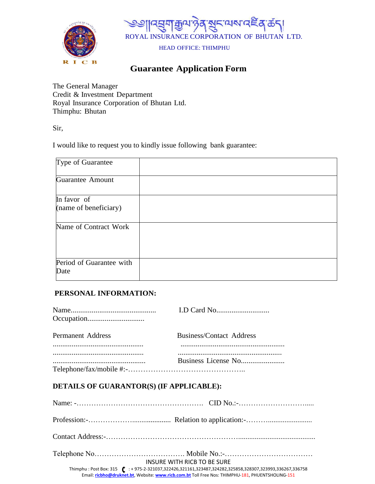



# **Guarantee Application Form**

The General Manager Credit & Investment Department Royal Insurance Corporation of Bhutan Ltd. Thimphu: Bhutan

Sir,

I would like to request you to kindly issue following bank guarantee:

| Type of Guarantee                    |  |
|--------------------------------------|--|
| <b>Guarantee Amount</b>              |  |
| In favor of<br>(name of beneficiary) |  |
| Name of Contract Work                |  |
| Period of Guarantee with<br>Date     |  |

## **PERSONAL INFORMATION:**

| <b>Permanent Address</b>                 | <b>Business/Contact Address</b> |
|------------------------------------------|---------------------------------|
| DETAILS OF GUARANTOR(S) (IF APPLICABLE): |                                 |
|                                          |                                 |
|                                          |                                 |
|                                          |                                 |

Telephone No………………………………. Mobile No.:-………………………………

INSURE WITH RICB TO BE SURE

Thimphu : Post Box: 315  $\left($  : + 975-2-321037,322426,321161,323487,324282,325858,328307,323993,336267,336758 Email: **[ricbho@druknet.bt](mailto:ricbho@druknet.bt)**, Website: **[www.ricb.com.bt](http://www.ricb.com.bt/)** Toll Free Nos: THIMPHU-181, PHUENTSHOLING-151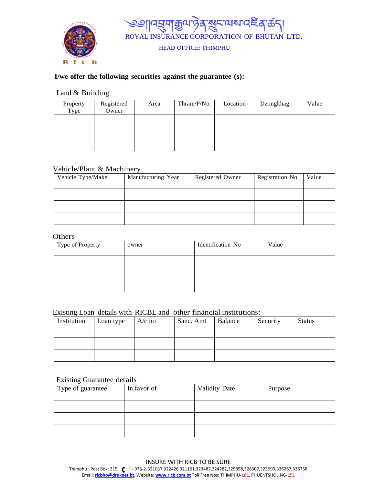



## **I/we offer the following securities against the guarantee (s):**

### Land & Building

| Property<br>Type | Registered<br>Owner | Area | Thram/P/No. | Location | Dzongkhag | Value |
|------------------|---------------------|------|-------------|----------|-----------|-------|
|                  |                     |      |             |          |           |       |
|                  |                     |      |             |          |           |       |
|                  |                     |      |             |          |           |       |

## Vehicle/Plant & Machinery

| Vehicle Type/Make | Manufacturing Year | Registered Owner | Registration No | Value |
|-------------------|--------------------|------------------|-----------------|-------|
|                   |                    |                  |                 |       |
|                   |                    |                  |                 |       |
|                   |                    |                  |                 |       |
|                   |                    |                  |                 |       |
|                   |                    |                  |                 |       |

## **Others**

| Type of Property | owner | Identification No | Value |
|------------------|-------|-------------------|-------|
|                  |       |                   |       |
|                  |       |                   |       |
|                  |       |                   |       |

### Existing Loan details with RICBL and other financial institutions:

| Institution | Loan type | $A/c$ no | Sanc. Amt | Balance | Security | <b>Status</b> |
|-------------|-----------|----------|-----------|---------|----------|---------------|
|             |           |          |           |         |          |               |
|             |           |          |           |         |          |               |
|             |           |          |           |         |          |               |
|             |           |          |           |         |          |               |
|             |           |          |           |         |          |               |

### Existing Guarantee details

| Type of guarantee | In favor of | <b>Validity Date</b> | Purpose |
|-------------------|-------------|----------------------|---------|
|                   |             |                      |         |
|                   |             |                      |         |
|                   |             |                      |         |

#### INSURE WITH RICB TO BE SURE

Thimphu : Post Box: 315 (: + 975-2-321037,322426,321161,323487,324282,325858,328307,323993,336267,336758 Email: **[ricbho@druknet.bt](mailto:ricbho@druknet.bt)**, Website: **[www.ricb.com.bt](http://www.ricb.com.bt/)** Toll Free Nos: THIMPHU-181, PHUENTSHOLING-151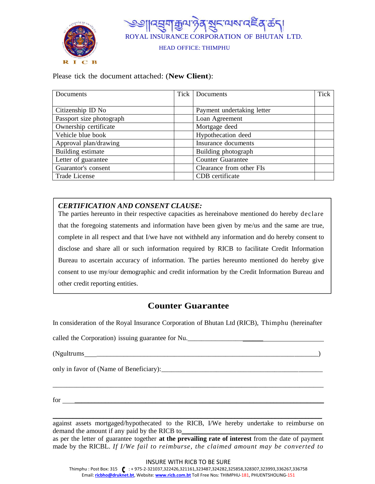



Please tick the document attached: (**New Client**):

| Documents                | Tick Documents             | Tick |
|--------------------------|----------------------------|------|
|                          |                            |      |
| Citizenship ID No        | Payment undertaking letter |      |
| Passport size photograph | Loan Agreement             |      |
| Ownership certificate    | Mortgage deed              |      |
| Vehicle blue book        | Hypothecation deed         |      |
| Approval plan/drawing    | Insurance documents        |      |
| Building estimate        | Building photograph        |      |
| Letter of guarantee      | <b>Counter Guarantee</b>   |      |
| Guarantor's consent      | Clearance from other FIs   |      |
| <b>Trade License</b>     | CDB certificate            |      |

## *CERTIFICATION AND CONSENT CLAUSE:*

The parties hereunto in their respective capacities as hereinabove mentioned do hereby declare that the foregoing statements and information have been given by me/us and the same are true, complete in all respect and that I/we have not withheld any information and do hereby consent to disclose and share all or such information required by RICB to facilitate Credit Information Bureau to ascertain accuracy of information. The parties hereunto mentioned do hereby give consent to use my/our demographic and credit information by the Credit Information Bureau and other credit reporting entities.

## **Counter Guarantee**

In consideration of the Royal Insurance Corporation of Bhutan Ltd (RICB), Thimphu (hereinafter

called the Corporation) issuing guarantee for Nu.

(Ngultrums \_\_\_\_\_\_\_\_\_\_\_\_\_\_\_\_\_\_\_\_\_\_\_\_\_\_\_\_\_\_\_\_\_\_\_\_\_\_\_\_\_\_\_\_\_\_\_\_\_\_\_\_\_\_\_\_\_\_\_\_\_\_\_\_\_)

only in favor of (Name of Beneficiary):

 $\text{for } \_\_\_\_\_$ 

\_\_\_\_\_\_\_\_\_\_\_\_\_\_\_\_\_\_\_\_\_\_\_\_\_\_\_\_\_\_\_\_\_\_\_\_\_\_\_\_\_\_\_\_\_\_\_\_\_\_\_\_\_\_\_\_\_\_\_\_\_\_\_\_\_\_\_\_\_\_\_\_\_\_\_\_\_\_\_\_ against assets mortgaged/hypothecated to the RICB, I/We hereby undertake to reimburse on demand the amount if any paid by the RICB to

\_\_\_\_\_\_\_\_\_\_\_\_\_\_\_\_\_\_\_\_\_\_\_\_\_\_\_\_\_\_\_\_\_\_\_\_\_\_\_\_\_\_\_\_\_\_\_\_\_\_\_\_\_\_\_\_\_\_\_\_\_\_\_\_\_\_\_\_\_\_\_\_\_\_\_\_\_\_\_

as per the letter of guarantee together **at the prevailing rate of interest** from the date of payment made by the RICBL. *If I/We fail to reimburse, the claimed amount may be converted to* 

Thimphu : Post Box: 315 (: + 975-2-321037,322426,321161,323487,324282,325858,328307,323993,336267,336758 Email: **[ricbho@druknet.bt](mailto:ricbho@druknet.bt)**, Website: **[www.ricb.com.bt](http://www.ricb.com.bt/)** Toll Free Nos: THIMPHU-181, PHUENTSHOLING-151